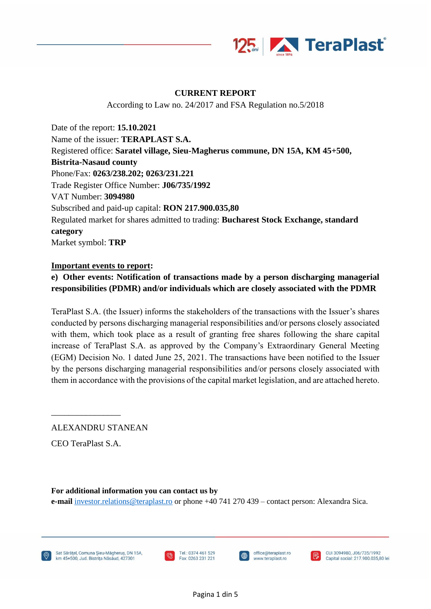

### **CURRENT REPORT**

According to Law no. 24/2017 and FSA Regulation no.5/2018

Date of the report: **15.10.2021** Name of the issuer: **TERAPLAST S.A.** Registered office: **Saratel village, Sieu-Magherus commune, DN 15A, KM 45+500, Bistrita-Nasaud county** Phone/Fax: **0263/238.202; 0263/231.221** Trade Register Office Number: **J06/735/1992** VAT Number: **3094980** Subscribed and paid-up capital: **RON 217.900.035,80** Regulated market for shares admitted to trading: **Bucharest Stock Exchange, standard category** Market symbol: **TRP**

#### **Important events to report:**

### **e) Other events: Notification of transactions made by a person discharging managerial responsibilities (PDMR) and/or individuals which are closely associated with the PDMR**

TeraPlast S.A. (the Issuer) informs the stakeholders of the transactions with the Issuer's shares conducted by persons discharging managerial responsibilities and/or persons closely associated with them, which took place as a result of granting free shares following the share capital increase of TeraPlast S.A. as approved by the Company's Extraordinary General Meeting (EGM) Decision No. 1 dated June 25, 2021. The transactions have been notified to the Issuer by the persons discharging managerial responsibilities and/or persons closely associated with them in accordance with the provisions of the capital market legislation, and are attached hereto.

ALEXANDRU STANEAN

CEO TeraPlast S.A.

\_\_\_\_\_\_\_\_\_\_\_\_\_\_\_\_

**For additional information you can contact us by**

j

**e-mail** [investor.relations@teraplast.ro](mailto:investor.relations@teraplast.ro) or phone +40 741 270 439 – contact person: Alexandra Sica.

Sat Sărătel, Comuna Sieu-Măgherus, DN 15A. km 45+500, Jud. Bistrița Năsăud, 427301





office@teraplast.ro

www.teraplast.ro

CUI 3094980, J06/735/1992 Capital social: 217.900.035.80 lei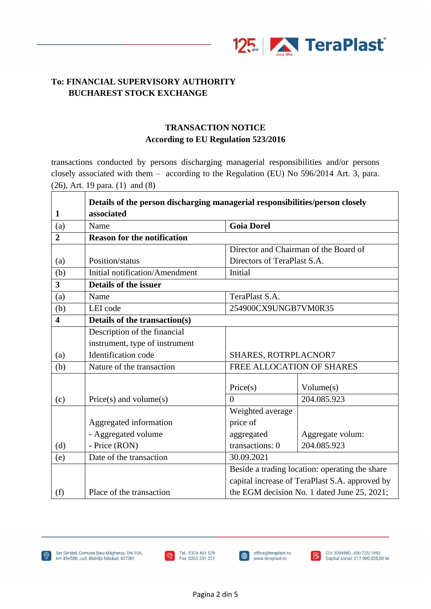

## **TRANSACTION NOTICE According to EU Regulation 523/2016**

transactions conducted by persons discharging managerial responsibilities and/or persons closely associated with them – according to the Regulation (EU) No 596/2014 Art. 3, para. (26), Art. 19 para. (1) and (8)

|                         | Details of the person discharging managerial responsibilities/person closely |                      |                                                |  |  |
|-------------------------|------------------------------------------------------------------------------|----------------------|------------------------------------------------|--|--|
| $\mathbf{1}$            | associated                                                                   |                      |                                                |  |  |
| (a)                     | Name                                                                         | <b>Goia Dorel</b>    |                                                |  |  |
| $\overline{2}$          | <b>Reason for the notification</b>                                           |                      |                                                |  |  |
|                         |                                                                              |                      | Director and Chairman of the Board of          |  |  |
| (a)                     | Position/status                                                              |                      | Directors of TeraPlast S.A.                    |  |  |
| (b)                     | Initial notification/Amendment                                               | <b>Initial</b>       |                                                |  |  |
| $\overline{\mathbf{3}}$ | Details of the issuer                                                        |                      |                                                |  |  |
| (a)                     | Name                                                                         | TeraPlast S.A.       |                                                |  |  |
| (b)                     | LEI code                                                                     | 254900CX9UNGB7VM0R35 |                                                |  |  |
| 4                       | Details of the transaction(s)                                                |                      |                                                |  |  |
|                         | Description of the financial                                                 |                      |                                                |  |  |
|                         | instrument, type of instrument                                               |                      |                                                |  |  |
| (a)                     | Identification code                                                          | SHARES, ROTRPLACNOR7 |                                                |  |  |
| (b)                     | Nature of the transaction                                                    |                      | FREE ALLOCATION OF SHARES                      |  |  |
|                         |                                                                              |                      |                                                |  |  |
|                         |                                                                              | Price(s)             | Volume(s)                                      |  |  |
| (c)                     | $Price(s)$ and volume $(s)$                                                  | $\theta$             | 204.085.923                                    |  |  |
|                         |                                                                              | Weighted average     |                                                |  |  |
|                         | Aggregated information                                                       | price of             |                                                |  |  |
|                         | - Aggregated volume                                                          | aggregated           | Aggregate volum:                               |  |  |
| (d)                     | - Price (RON)                                                                | transactions: 0      | 204.085.923                                    |  |  |
| (e)                     | Date of the transaction                                                      | 30.09.2021           |                                                |  |  |
|                         |                                                                              |                      | Beside a trading location: operating the share |  |  |
|                         |                                                                              |                      | capital increase of TeraPlast S.A. approved by |  |  |
| (f)                     | Place of the transaction                                                     |                      | the EGM decision No. 1 dated June 25, 2021;    |  |  |





j

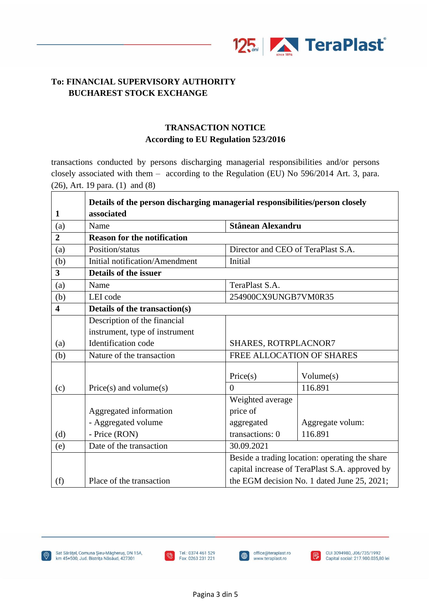

## **TRANSACTION NOTICE According to EU Regulation 523/2016**

transactions conducted by persons discharging managerial responsibilities and/or persons closely associated with them – according to the Regulation (EU) No 596/2014 Art. 3, para. (26), Art. 19 para. (1) and (8)

|                         | Details of the person discharging managerial responsibilities/person closely |                                    |                                                                                                  |  |  |
|-------------------------|------------------------------------------------------------------------------|------------------------------------|--------------------------------------------------------------------------------------------------|--|--|
| $\mathbf{1}$            | associated                                                                   |                                    |                                                                                                  |  |  |
| (a)                     | Name                                                                         |                                    | <b>Stânean Alexandru</b>                                                                         |  |  |
| $\overline{2}$          | <b>Reason for the notification</b>                                           |                                    |                                                                                                  |  |  |
| (a)                     | Position/status                                                              | Director and CEO of TeraPlast S.A. |                                                                                                  |  |  |
| (b)                     | Initial notification/Amendment                                               | <b>Initial</b>                     |                                                                                                  |  |  |
| 3                       | Details of the issuer                                                        |                                    |                                                                                                  |  |  |
| (a)                     | Name                                                                         | TeraPlast S.A.                     |                                                                                                  |  |  |
| (b)                     | LEI code                                                                     | 254900CX9UNGB7VM0R35               |                                                                                                  |  |  |
| $\overline{\mathbf{4}}$ | Details of the transaction(s)                                                |                                    |                                                                                                  |  |  |
|                         | Description of the financial                                                 |                                    |                                                                                                  |  |  |
|                         | instrument, type of instrument                                               |                                    |                                                                                                  |  |  |
| (a)                     | Identification code                                                          | SHARES, ROTRPLACNOR7               |                                                                                                  |  |  |
| (b)                     | Nature of the transaction                                                    |                                    | FREE ALLOCATION OF SHARES                                                                        |  |  |
|                         |                                                                              |                                    |                                                                                                  |  |  |
|                         |                                                                              | Price(s)                           | Volume(s)                                                                                        |  |  |
| (c)                     | $Price(s)$ and volume $(s)$                                                  | $\theta$                           | 116.891                                                                                          |  |  |
|                         |                                                                              | Weighted average                   |                                                                                                  |  |  |
|                         | Aggregated information                                                       | price of                           |                                                                                                  |  |  |
|                         | - Aggregated volume                                                          | aggregated                         | Aggregate volum:                                                                                 |  |  |
| (d)                     | - Price (RON)                                                                | transactions: 0                    | 116.891                                                                                          |  |  |
| (e)                     | Date of the transaction                                                      | 30.09.2021                         | Beside a trading location: operating the share<br>capital increase of TeraPlast S.A. approved by |  |  |
|                         |                                                                              |                                    |                                                                                                  |  |  |
|                         |                                                                              |                                    |                                                                                                  |  |  |
| (f)                     | Place of the transaction                                                     |                                    | the EGM decision No. 1 dated June 25, 2021;                                                      |  |  |



Sat Sărățel, Comuna Șieu-Măgheruș, DN 15A, km 45+500, Jud. Bistrița Năsăud, 427301



j

 $\blacksquare$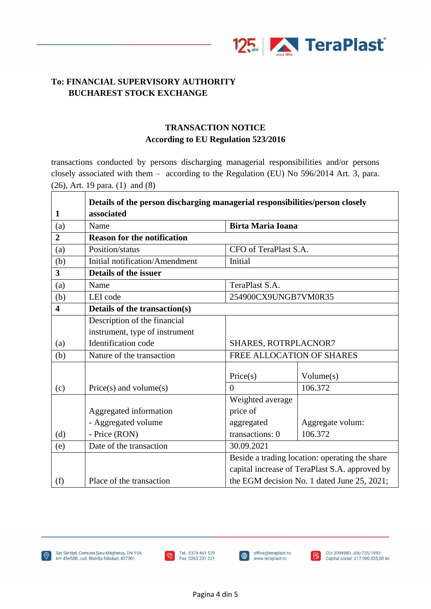

# **TRANSACTION NOTICE According to EU Regulation 523/2016**

transactions conducted by persons discharging managerial responsibilities and/or persons closely associated with them – according to the Regulation (EU) No 596/2014 Art. 3, para. (26), Art. 19 para. (1) and (8)

|                         | Details of the person discharging managerial responsibilities/person closely |                       |                                                                                                  |  |  |
|-------------------------|------------------------------------------------------------------------------|-----------------------|--------------------------------------------------------------------------------------------------|--|--|
| $\mathbf{1}$            | associated                                                                   |                       |                                                                                                  |  |  |
| (a)                     | Name                                                                         |                       | <b>Birta Maria Ioana</b>                                                                         |  |  |
| $\overline{2}$          | <b>Reason for the notification</b>                                           |                       |                                                                                                  |  |  |
| (a)                     | Position/status                                                              | CFO of TeraPlast S.A. |                                                                                                  |  |  |
| (b)                     | Initial notification/Amendment                                               | Initial               |                                                                                                  |  |  |
| 3                       | Details of the issuer                                                        |                       |                                                                                                  |  |  |
| (a)                     | Name                                                                         | TeraPlast S.A.        |                                                                                                  |  |  |
| (b)                     | LEI code                                                                     | 254900CX9UNGB7VM0R35  |                                                                                                  |  |  |
| $\overline{\mathbf{4}}$ | Details of the transaction(s)                                                |                       |                                                                                                  |  |  |
|                         | Description of the financial                                                 |                       |                                                                                                  |  |  |
|                         | instrument, type of instrument                                               |                       |                                                                                                  |  |  |
| (a)                     | Identification code                                                          | SHARES, ROTRPLACNOR7  |                                                                                                  |  |  |
| (b)                     | Nature of the transaction                                                    |                       | FREE ALLOCATION OF SHARES                                                                        |  |  |
|                         |                                                                              |                       |                                                                                                  |  |  |
|                         |                                                                              | Price(s)              | Volume(s)                                                                                        |  |  |
| (c)                     | $Price(s)$ and volume $(s)$                                                  | $\theta$              | 106.372                                                                                          |  |  |
|                         |                                                                              | Weighted average      |                                                                                                  |  |  |
|                         | Aggregated information                                                       | price of              |                                                                                                  |  |  |
|                         | - Aggregated volume                                                          | aggregated            | Aggregate volum:                                                                                 |  |  |
| (d)                     | - Price (RON)                                                                | transactions: 0       | 106.372                                                                                          |  |  |
| (e)                     | Date of the transaction                                                      | 30.09.2021            | Beside a trading location: operating the share<br>capital increase of TeraPlast S.A. approved by |  |  |
|                         |                                                                              |                       |                                                                                                  |  |  |
|                         |                                                                              |                       |                                                                                                  |  |  |
| (f)                     | Place of the transaction                                                     |                       | the EGM decision No. 1 dated June 25, 2021;                                                      |  |  |



Sat Sărățel, Comuna Șieu-Măgheruș, DN 15A, km 45+500, Jud. Bistrița Năsăud, 427301



j

 $\blacksquare$